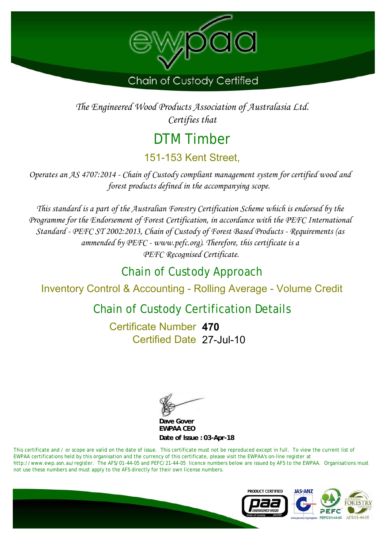

*The Engineered Wood Products Association of Australasia Ltd. Certifies that*

## DTM Timber 151-153 Kent Street,

*Operates an AS 4707:2014 - Chain of Custody compliant management system for certified wood and forest products defined in the accompanying scope.* 

*This standard is a part of the Australian Forestry Certification Scheme which is endorsed by the Programme for the Endorsement of Forest Certification, in accordance with the PEFC International Standard - PEFC ST 2002:2013, Chain of Custody of Forest Based Products - Requirements (as ammended by PEFC - www.pefc.org). Therefore, this certificate is a PEFC Recognised Certificate.*

## Chain of Custody Approach

Inventory Control & Accounting - Rolling Average - Volume Credit

## Chain of Custody Certification Details

Certified Date 27-Jul-10 Certificate Number **470**

**EWPAA CEO Dave Gover**

**Date of Issue : 03-Apr-18**

This certificate and / or scope are valid on the date of issue. This certificate must not be reproduced except in full. To view the current list of EWPAA certifications held by this organisation and the currency of this certificate, please visit the EWPAA's on-line register at http://www.ewp.asn.au/register. The AFS/01-44-05 and PEFC/21-44-05 licence numbers below are issued by AFS to the EWPAA. Organisations must not use these numbers and must apply to the AFS directly for their own license numbers.